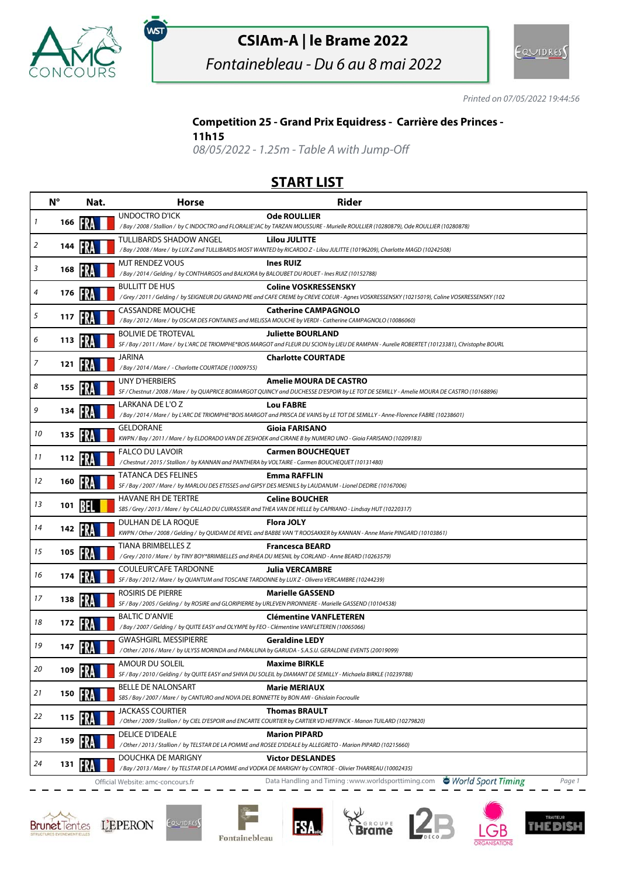

# **CSIAm-A | le Brame 2022**

Fontainebleau - Du 6 au 8 mai 2022



Printed on 07/05/2022 19:44:56

### **Competition 25 - Grand Prix Equidress - Carrière des Princes -**

#### **11h15**

,<br>wsт

08/05/2022 - 1.25m - Table A with Jump-Off

## **START LIST**

| $N^{\circ}$ |            | Nat.       | <b>Horse</b>                                                                                                                   | <b>Rider</b>                                                                                                                                                               |
|-------------|------------|------------|--------------------------------------------------------------------------------------------------------------------------------|----------------------------------------------------------------------------------------------------------------------------------------------------------------------------|
| 1           | 166        |            | <b>UNDOCTRO D'ICK</b>                                                                                                          | <b>Ode ROULLIER</b><br>/ Bay / 2008 / Stallion / by C INDOCTRO and FLORALIE'JAC by TARZAN MOUSSURE - Murielle ROULLIER (10280879), Ode ROULLIER (10280878)                 |
|             |            |            |                                                                                                                                |                                                                                                                                                                            |
| 2           | 144        |            | TULLIBARDS SHADOW ANGEL                                                                                                        | <b>Lilou JULITTE</b><br>/Bay / 2008 / Mare / by LUX Z and TULLIBARDS MOST WANTED by RICARDO Z - Lilou JULITTE (10196209), Charlotte MAGD (10242508)                        |
|             |            |            | MJT RENDEZ VOUS                                                                                                                | <b>Ines RUIZ</b>                                                                                                                                                           |
| 3           | 168        |            | /Bay / 2014 / Gelding / by CONTHARGOS and BALKORA by BALOUBET DU ROUET - Ines RUIZ (10152788)                                  |                                                                                                                                                                            |
| 4           | 176        |            | <b>BULLITT DE HUS</b>                                                                                                          | <b>Coline VOSKRESSENSKY</b><br>/Grey / 2011 / Gelding / by SEIGNEUR DU GRAND PRE and CAFE CREME by CREVE COEUR - Agnes VOSKRESSENSKY (10215019), Coline VOSKRESSENSKY (102 |
|             |            |            | <b>CASSANDRE MOUCHE</b>                                                                                                        | <b>Catherine CAMPAGNOLO</b>                                                                                                                                                |
| 5           | 117        |            |                                                                                                                                | /Bay / 2012 / Mare / by OSCAR DES FONTAINES and MELISSA MOUCHE by VERDI - Catherine CAMPAGNOLO (10086060)                                                                  |
| 6           | 113        | <b>FRA</b> | <b>BOLIVIE DE TROTEVAL</b>                                                                                                     | <b>Juliette BOURLAND</b>                                                                                                                                                   |
|             |            |            |                                                                                                                                | SF / Bay / 2011 / Mare / by L'ARC DE TRIOMPHE*BOIS MARGOT and FLEUR DU SCION by LIEU DE RAMPAN - Aurelie ROBERTET (10123381), Christophe BOURL                             |
| 7           | 121        |            | JARINA<br>/Bay / 2014 / Mare / - Charlotte COURTADE (10009755)                                                                 | <b>Charlotte COURTADE</b>                                                                                                                                                  |
|             |            |            | UNY D'HERBIERS                                                                                                                 | <b>Amelie MOURA DE CASTRO</b>                                                                                                                                              |
| 8           | 155        | ER         |                                                                                                                                | SF / Chestnut / 2008 / Mare / by QUAPRICE BOIMARGOT QUINCY and DUCHESSE D'ESPOIR by LE TOT DE SEMILLY - Amelie MOURA DE CASTRO (10168896)                                  |
| 9           | 134        |            | LARKANA DE L'O Z                                                                                                               | <b>Lou FABRE</b>                                                                                                                                                           |
|             |            |            |                                                                                                                                | /Bay / 2014 / Mare / by L'ARC DE TRIOMPHE*BOIS MARGOT and PRISCA DE VAINS by LE TOT DE SEMILLY - Anne-Florence FABRE (10238601)                                            |
| 10          | 135        |            | GELDORANE                                                                                                                      | <b>Gioia FARISANO</b><br>KWPN / Bay / 2011 / Mare / by ELDORADO VAN DE ZESHOEK and CIRANE B by NUMERO UNO - Gioia FARISANO (10209183)                                      |
|             |            |            | <b>FALCO DU LAVOIR</b>                                                                                                         | <b>Carmen BOUCHEQUET</b>                                                                                                                                                   |
| 11          | 112        | -87        | /Chestnut / 2015 / Stallion / by KANNAN and PANTHERA by VOLTAIRE - Carmen BOUCHEQUET (10131480)                                |                                                                                                                                                                            |
|             |            |            | <b>TATANCA DES FELINES</b>                                                                                                     | <b>Emma RAFFLIN</b>                                                                                                                                                        |
| 12          | 160        |            | SF / Bay / 2007 / Mare / by MARLOU DES ETISSES and GIPSY DES MESNILS by LAUDANUM - Lionel DEDRIE (10167006)                    |                                                                                                                                                                            |
| 13          | 101        |            | HAVANE RH DE TERTRE                                                                                                            | <b>Celine BOUCHER</b>                                                                                                                                                      |
|             |            |            |                                                                                                                                | SBS / Grey / 2013 / Mare / by CALLAO DU CUIRASSIER and THEA VAN DE HELLE by CAPRIANO - Lindsay HUT (10220317)                                                              |
| 14          | 142        | FRA        | DULHAN DE LA ROQUE                                                                                                             | <b>Flora JOLY</b><br>KWPN / Other / 2008 / Gelding / by QUIDAM DE REVEL and BABBE VAN 'T ROOSAKKER by KANNAN - Anne Marie PINGARD (10103861)                               |
|             |            |            | <b>TIANA BRIMBELLES Z</b>                                                                                                      | <b>Francesca BEARD</b>                                                                                                                                                     |
| 15          | 105        | FRA        | /Grey / 2010 / Mare / by TINY BOY*BRIMBELLES and RHEA DU MESNIL by CORLAND - Anne BEARD (10263579)                             |                                                                                                                                                                            |
| 16          | 174        |            | <b>COULEUR'CAFE TARDONNE</b>                                                                                                   | <b>Julia VERCAMBRE</b>                                                                                                                                                     |
|             |            |            | SF / Bay / 2012 / Mare / by QUANTUM and TOSCANE TARDONNE by LUX Z - Olivera VERCAMBRE (10244239)                               |                                                                                                                                                                            |
| 17          | 138        |            | ROSIRIS DE PIERRE<br>SF / Bay / 2005 / Gelding / by ROSIRE and GLORIPIERRE by URLEVEN PIRONNIERE - Marielle GASSEND (10104538) | <b>Marielle GASSEND</b>                                                                                                                                                    |
|             |            |            | <b>BALTIC D'ANVIE</b>                                                                                                          | <b>Clémentine VANFLETEREN</b>                                                                                                                                              |
| 18          | 172        |            | /Bay / 2007 / Gelding / by QUITE EASY and OLYMPE by FEO - Clémentine VANFLETEREN (10065066)                                    |                                                                                                                                                                            |
|             |            |            | <b>GWASHGIRL MESSIPIERRE</b>                                                                                                   | <b>Geraldine LEDY</b>                                                                                                                                                      |
| 19          | 147        |            | / Other / 2016 / Mare / by ULYSS MORINDA and PARALUNA by GARUDA - S.A.S.U. GERALDINE EVENTS (20019099)                         |                                                                                                                                                                            |
| 20          | 109        |            | AMOUR DU SOLEIL                                                                                                                | <b>Maxime BIRKLE</b>                                                                                                                                                       |
|             |            |            | <b>BELLE DE NALONSART</b>                                                                                                      | SF / Bay / 2010 / Gelding / by QUITE EASY and SHIVA DU SOLEIL by DIAMANT DE SEMILLY - Michaela BIRKLE (10239788)<br><b>Marie MERIAUX</b>                                   |
| 21          | $150$ $ 1$ |            | SBS / Bay / 2007 / Mare / by CANTURO and NOVA DEL BONNETTE by BON AMI - Ghislain Focroulle                                     |                                                                                                                                                                            |
|             |            |            | <b>JACKASS COURTIER</b>                                                                                                        | <b>Thomas BRAULT</b>                                                                                                                                                       |
| 22          | 115        |            |                                                                                                                                | / Other / 2009 / Stallion / by CIEL D'ESPOIR and ENCARTE COURTIER by CARTIER VD HEFFINCK - Manon TUILARD (10279820)                                                        |
| 23          |            |            | DELICE D'IDEALE                                                                                                                | <b>Marion PIPARD</b>                                                                                                                                                       |
|             | 159        |            |                                                                                                                                | / Other / 2013 / Stallion / by TELSTAR DE LA POMME and ROSEE D'IDEALE by ALLEGRETO - Marion PIPARD (10215660)                                                              |
| 24          | 131        |            | DOUCHKA DE MARIGNY                                                                                                             | <b>Victor DESLANDES</b><br>/ Bay / 2013 / Mare / by TELSTAR DE LA POMME and VODKA DE MARIGNY by CONTROE - Olivier THARREAU (10002435)                                      |
|             |            |            | Official Website: amc-concours.fr                                                                                              | World Sport Timing<br>Data Handling and Timing: www.worldsporttiming.com<br>Page 1                                                                                         |





Fontainebleau

**FSA**